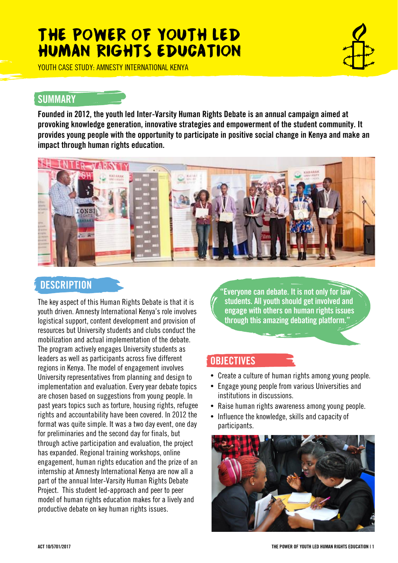# THE POWER OF YOUTH LED HUMAN RIGHTS EDUCATION

YOUTH CASE STUDY: AMNESTY INTERNATIONAL KENYA

#### **SUMMARY**

Founded in 2012, the youth led Inter-Varsity Human Rights Debate is an annual campaign aimed at provoking knowledge generation, innovative strategies and empowerment of the student community. It provides young people with the opportunity to participate in positive social change in Kenya and make an impact through human rights education.



### **DESCRIPTION**

The key aspect of this Human Rights Debate is that it is youth driven. Amnesty International Kenya's role involves logistical support, content development and provision of resources but University students and clubs conduct the mobilization and actual implementation of the debate. The program actively engages University students as leaders as well as participants across five different regions in Kenya. The model of engagement involves University representatives from planning and design to implementation and evaluation. Every year debate topics are chosen based on suggestions from young people. In past years topics such as torture, housing rights, refugee rights and accountability have been covered. In 2012 the format was quite simple. It was a two day event, one day for preliminaries and the second day for finals, but through active participation and evaluation, the project has expanded. Regional training workshops, online engagement, human rights education and the prize of an internship at Amnesty International Kenya are now all a part of the annual Inter-Varsity Human Rights Debate Project. This student led-approach and peer to peer model of human rights education makes for a lively and productive debate on key human rights issues.

"Everyone can debate. It is not only for law students. All youth should get involved and engage with others on human rights issues through this amazing debating platform."

#### **OBJECTIVES**

- Create a culture of human rights among young people.
- Engage young people from various Universities and institutions in discussions.
- Raise human rights awareness among young people.
- Influence the knowledge, skills and capacity of participants.